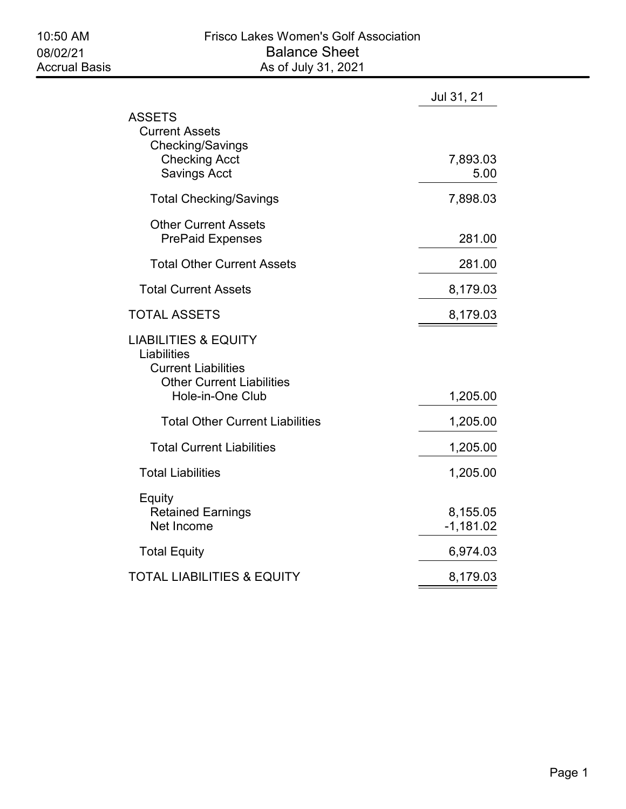| Jul 31, 21              |
|-------------------------|
| 7,893.03<br>5.00        |
| 7,898.03                |
| 281.00                  |
| 281.00                  |
| 8,179.03                |
| 8,179.03                |
| 1,205.00                |
| 1,205.00                |
| 1,205.00                |
| 1,205.00                |
| 8,155.05<br>$-1,181.02$ |
| 6,974.03                |
| 8,179.03                |
|                         |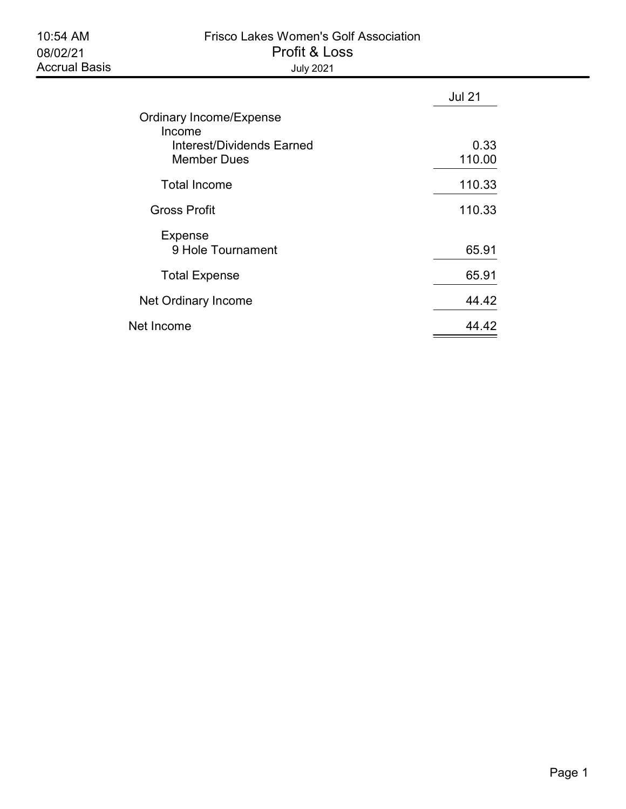| <b>Frisco Lakes Women's Golf Association</b> |
|----------------------------------------------|
| Profit & Loss                                |
| July 2021                                    |

|                                                 | <b>Jul 21</b>  |
|-------------------------------------------------|----------------|
| <b>Ordinary Income/Expense</b><br>Income        |                |
| Interest/Dividends Earned<br><b>Member Dues</b> | 0.33<br>110.00 |
| <b>Total Income</b>                             | 110.33         |
| <b>Gross Profit</b>                             | 110.33         |
| <b>Expense</b><br>9 Hole Tournament             | 65.91          |
| <b>Total Expense</b>                            | 65.91          |
| Net Ordinary Income                             | 44.42          |
| Net Income                                      | 44 42          |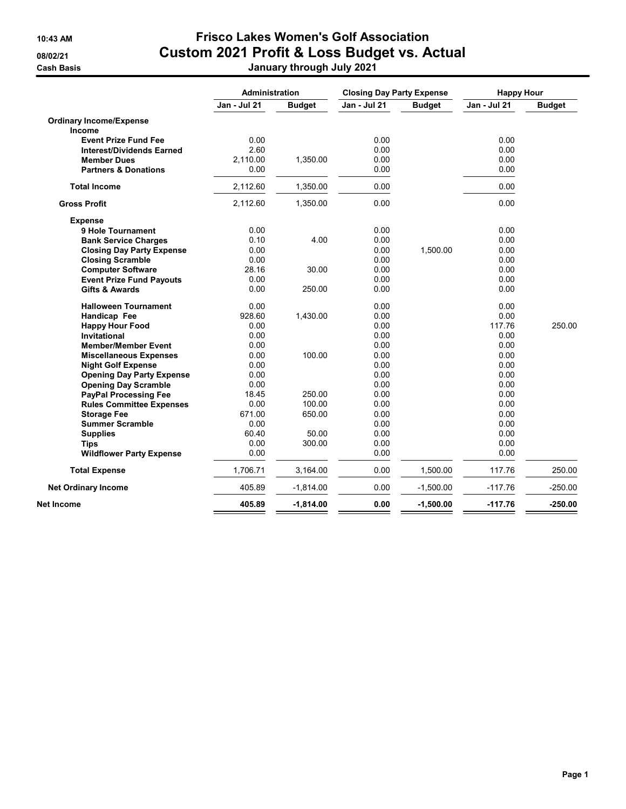## 10:43 AM Frisco Lakes Women's Golf Association 08/02/21 Custom 2021 Profit & Loss Budget vs. Actual Cash Basis January through July 2021

|                                  | <b>Administration</b> |               | <b>Closing Day Party Expense</b> |               | <b>Happy Hour</b> |               |
|----------------------------------|-----------------------|---------------|----------------------------------|---------------|-------------------|---------------|
|                                  | Jan - Jul 21          | <b>Budget</b> | <b>Jan - Jul 21</b>              | <b>Budget</b> | Jan - Jul 21      | <b>Budget</b> |
| <b>Ordinary Income/Expense</b>   |                       |               |                                  |               |                   |               |
| Income                           |                       |               |                                  |               |                   |               |
| <b>Event Prize Fund Fee</b>      | 0.00                  |               | 0.00                             |               | 0.00              |               |
| <b>Interest/Dividends Earned</b> | 2.60                  |               | 0.00                             |               | 0.00              |               |
| <b>Member Dues</b>               | 2,110.00              | 1,350.00      | 0.00                             |               | 0.00              |               |
| <b>Partners &amp; Donations</b>  | 0.00                  |               | 0.00                             |               | 0.00              |               |
| <b>Total Income</b>              | 2,112.60              | 1,350.00      | 0.00                             |               | 0.00              |               |
| <b>Gross Profit</b>              | 2,112.60              | 1,350.00      | 0.00                             |               | 0.00              |               |
| <b>Expense</b>                   |                       |               |                                  |               |                   |               |
| 9 Hole Tournament                | 0.00                  |               | 0.00                             |               | 0.00              |               |
| <b>Bank Service Charges</b>      | 0.10                  | 4.00          | 0.00                             |               | 0.00              |               |
| <b>Closing Day Party Expense</b> | 0.00                  |               | 0.00                             | 1,500.00      | 0.00              |               |
| <b>Closing Scramble</b>          | 0.00                  |               | 0.00                             |               | 0.00              |               |
| <b>Computer Software</b>         | 28.16                 | 30.00         | 0.00                             |               | 0.00              |               |
| <b>Event Prize Fund Payouts</b>  | 0.00                  |               | 0.00                             |               | 0.00              |               |
| <b>Gifts &amp; Awards</b>        | 0.00                  | 250.00        | 0.00                             |               | 0.00              |               |
| <b>Halloween Tournament</b>      | 0.00                  |               | 0.00                             |               | 0.00              |               |
| Handicap Fee                     | 928.60                | 1,430.00      | 0.00                             |               | 0.00              |               |
| <b>Happy Hour Food</b>           | 0.00                  |               | 0.00                             |               | 117.76            | 250.00        |
| Invitational                     | 0.00                  |               | 0.00                             |               | 0.00              |               |
| <b>Member/Member Event</b>       | 0.00                  |               | 0.00                             |               | 0.00              |               |
| <b>Miscellaneous Expenses</b>    | 0.00                  | 100.00        | 0.00                             |               | 0.00              |               |
| <b>Night Golf Expense</b>        | 0.00                  |               | 0.00                             |               | 0.00              |               |
| <b>Opening Day Party Expense</b> | 0.00                  |               | 0.00                             |               | 0.00              |               |
| <b>Opening Day Scramble</b>      | 0.00                  |               | 0.00                             |               | 0.00              |               |
| <b>PayPal Processing Fee</b>     | 18.45                 | 250.00        | 0.00                             |               | 0.00              |               |
| <b>Rules Committee Expenses</b>  | 0.00                  | 100.00        | 0.00                             |               | 0.00              |               |
| <b>Storage Fee</b>               | 671.00                | 650.00        | 0.00                             |               | 0.00              |               |
| <b>Summer Scramble</b>           | 0.00                  |               | 0.00                             |               | 0.00              |               |
| <b>Supplies</b>                  | 60.40                 | 50.00         | 0.00                             |               | 0.00              |               |
| <b>Tips</b>                      | 0.00                  | 300.00        | 0.00                             |               | 0.00              |               |
| <b>Wildflower Party Expense</b>  | 0.00                  |               | 0.00                             |               | 0.00              |               |
| <b>Total Expense</b>             | 1,706.71              | 3,164.00      | 0.00                             | 1,500.00      | 117.76            | 250.00        |
| <b>Net Ordinary Income</b>       | 405.89                | $-1,814.00$   | 0.00                             | $-1,500.00$   | $-117.76$         | $-250.00$     |
| Net Income                       | 405.89                | $-1,814.00$   | 0.00                             | $-1,500.00$   | $-117.76$         | $-250.00$     |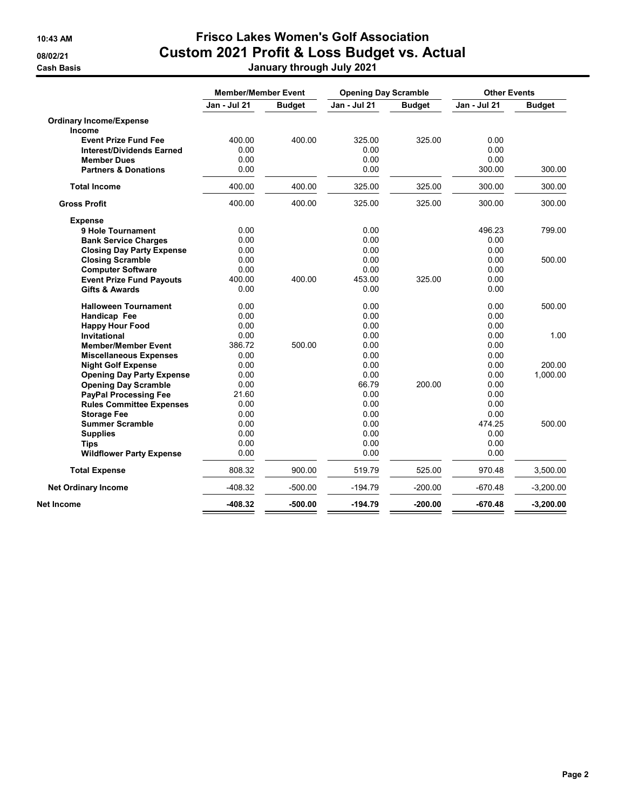## 10:43 AM Frisco Lakes Women's Golf Association 08/02/21 Custom 2021 Profit & Loss Budget vs. Actual Cash Basis January through July 2021

|                                  |              | <b>Member/Member Event</b> |              | <b>Opening Day Scramble</b> |                     | <b>Other Events</b> |
|----------------------------------|--------------|----------------------------|--------------|-----------------------------|---------------------|---------------------|
|                                  | Jan - Jul 21 | <b>Budget</b>              | Jan - Jul 21 | <b>Budget</b>               | <b>Jan - Jul 21</b> | <b>Budget</b>       |
| <b>Ordinary Income/Expense</b>   |              |                            |              |                             |                     |                     |
| Income                           |              |                            |              |                             |                     |                     |
| <b>Event Prize Fund Fee</b>      | 400.00       | 400.00                     | 325.00       | 325.00                      | 0.00                |                     |
| <b>Interest/Dividends Earned</b> | 0.00         |                            | 0.00         |                             | 0.00                |                     |
| <b>Member Dues</b>               | 0.00         |                            | 0.00         |                             | 0.00                |                     |
| <b>Partners &amp; Donations</b>  | 0.00         |                            | 0.00         |                             | 300.00              | 300.00              |
| <b>Total Income</b>              | 400.00       | 400.00                     | 325.00       | 325.00                      | 300.00              | 300.00              |
| <b>Gross Profit</b>              | 400.00       | 400.00                     | 325.00       | 325.00                      | 300.00              | 300.00              |
| <b>Expense</b>                   |              |                            |              |                             |                     |                     |
| 9 Hole Tournament                | 0.00         |                            | 0.00         |                             | 496.23              | 799.00              |
| <b>Bank Service Charges</b>      | 0.00         |                            | 0.00         |                             | 0.00                |                     |
| <b>Closing Day Party Expense</b> | 0.00         |                            | 0.00         |                             | 0.00                |                     |
| <b>Closing Scramble</b>          | 0.00         |                            | 0.00         |                             | 0.00                | 500.00              |
| <b>Computer Software</b>         | 0.00         |                            | 0.00         |                             | 0.00                |                     |
| <b>Event Prize Fund Payouts</b>  | 400.00       | 400.00                     | 453.00       | 325.00                      | 0.00                |                     |
| <b>Gifts &amp; Awards</b>        | 0.00         |                            | 0.00         |                             | 0.00                |                     |
| <b>Halloween Tournament</b>      | 0.00         |                            | 0.00         |                             | 0.00                | 500.00              |
| Handicap Fee                     | 0.00         |                            | 0.00         |                             | 0.00                |                     |
| <b>Happy Hour Food</b>           | 0.00         |                            | 0.00         |                             | 0.00                |                     |
| <b>Invitational</b>              | 0.00         |                            | 0.00         |                             | 0.00                | 1.00                |
| <b>Member/Member Event</b>       | 386.72       | 500.00                     | 0.00         |                             | 0.00                |                     |
| <b>Miscellaneous Expenses</b>    | 0.00         |                            | 0.00         |                             | 0.00                |                     |
| <b>Night Golf Expense</b>        | 0.00         |                            | 0.00         |                             | 0.00                | 200.00              |
| <b>Opening Day Party Expense</b> | 0.00         |                            | 0.00         |                             | 0.00                | 1,000.00            |
| <b>Opening Day Scramble</b>      | 0.00         |                            | 66.79        | 200.00                      | 0.00                |                     |
| <b>PayPal Processing Fee</b>     | 21.60        |                            | 0.00         |                             | 0.00                |                     |
| <b>Rules Committee Expenses</b>  | 0.00         |                            | 0.00         |                             | 0.00                |                     |
| <b>Storage Fee</b>               | 0.00         |                            | 0.00         |                             | 0.00                |                     |
| <b>Summer Scramble</b>           | 0.00         |                            | 0.00         |                             | 474.25              | 500.00              |
| <b>Supplies</b>                  | 0.00         |                            | 0.00         |                             | 0.00                |                     |
| <b>Tips</b>                      | 0.00         |                            | 0.00         |                             | 0.00                |                     |
| <b>Wildflower Party Expense</b>  | 0.00         |                            | 0.00         |                             | 0.00                |                     |
| <b>Total Expense</b>             | 808.32       | 900.00                     | 519.79       | 525.00                      | 970.48              | 3,500.00            |
| <b>Net Ordinary Income</b>       | $-408.32$    | $-500.00$                  | $-194.79$    | $-200.00$                   | $-670.48$           | $-3,200.00$         |
| Net Income                       | $-408.32$    | $-500.00$                  | $-194.79$    | $-200.00$                   | $-670.48$           | $-3,200.00$         |